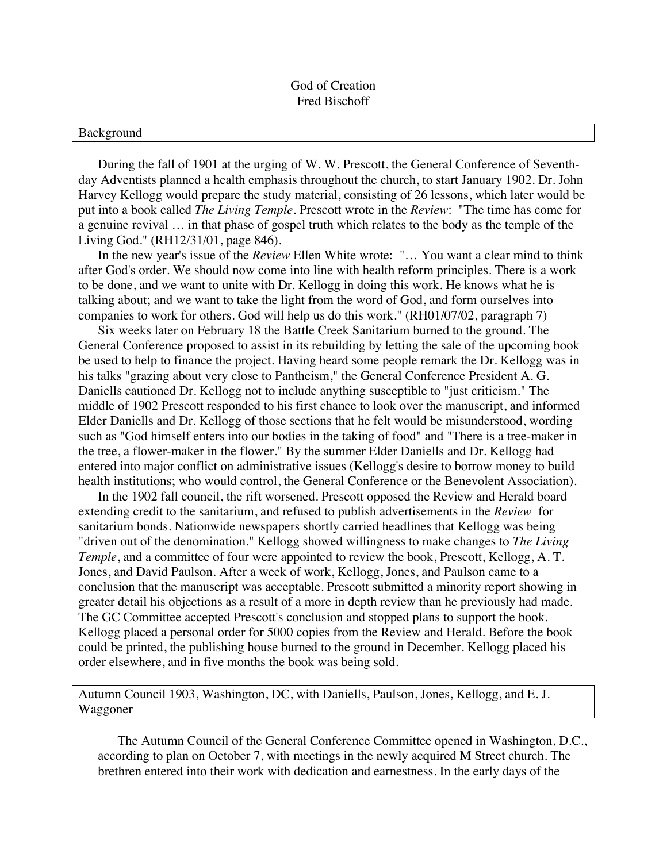#### Background

During the fall of 1901 at the urging of W. W. Prescott, the General Conference of Seventhday Adventists planned a health emphasis throughout the church, to start January 1902. Dr. John Harvey Kellogg would prepare the study material, consisting of 26 lessons, which later would be put into a book called *The Living Temple.* Prescott wrote in the *Review*: "The time has come for a genuine revival … in that phase of gospel truth which relates to the body as the temple of the Living God." (RH12/31/01, page 846).

In the new year's issue of the *Review* Ellen White wrote: "… You want a clear mind to think after God's order. We should now come into line with health reform principles. There is a work to be done, and we want to unite with Dr. Kellogg in doing this work. He knows what he is talking about; and we want to take the light from the word of God, and form ourselves into companies to work for others. God will help us do this work." (RH01/07/02, paragraph 7)

Six weeks later on February 18 the Battle Creek Sanitarium burned to the ground. The General Conference proposed to assist in its rebuilding by letting the sale of the upcoming book be used to help to finance the project. Having heard some people remark the Dr. Kellogg was in his talks "grazing about very close to Pantheism," the General Conference President A. G. Daniells cautioned Dr. Kellogg not to include anything susceptible to "just criticism." The middle of 1902 Prescott responded to his first chance to look over the manuscript, and informed Elder Daniells and Dr. Kellogg of those sections that he felt would be misunderstood, wording such as "God himself enters into our bodies in the taking of food" and "There is a tree-maker in the tree, a flower-maker in the flower." By the summer Elder Daniells and Dr. Kellogg had entered into major conflict on administrative issues (Kellogg's desire to borrow money to build health institutions; who would control, the General Conference or the Benevolent Association).

In the 1902 fall council, the rift worsened. Prescott opposed the Review and Herald board extending credit to the sanitarium, and refused to publish advertisements in the *Review* for sanitarium bonds. Nationwide newspapers shortly carried headlines that Kellogg was being "driven out of the denomination." Kellogg showed willingness to make changes to *The Living Temple*, and a committee of four were appointed to review the book, Prescott, Kellogg, A. T. Jones, and David Paulson. After a week of work, Kellogg, Jones, and Paulson came to a conclusion that the manuscript was acceptable. Prescott submitted a minority report showing in greater detail his objections as a result of a more in depth review than he previously had made. The GC Committee accepted Prescott's conclusion and stopped plans to support the book. Kellogg placed a personal order for 5000 copies from the Review and Herald. Before the book could be printed, the publishing house burned to the ground in December. Kellogg placed his order elsewhere, and in five months the book was being sold.

Autumn Council 1903, Washington, DC, with Daniells, Paulson, Jones, Kellogg, and E. J. Waggoner

The Autumn Council of the General Conference Committee opened in Washington, D.C., according to plan on October 7, with meetings in the newly acquired M Street church. The brethren entered into their work with dedication and earnestness. In the early days of the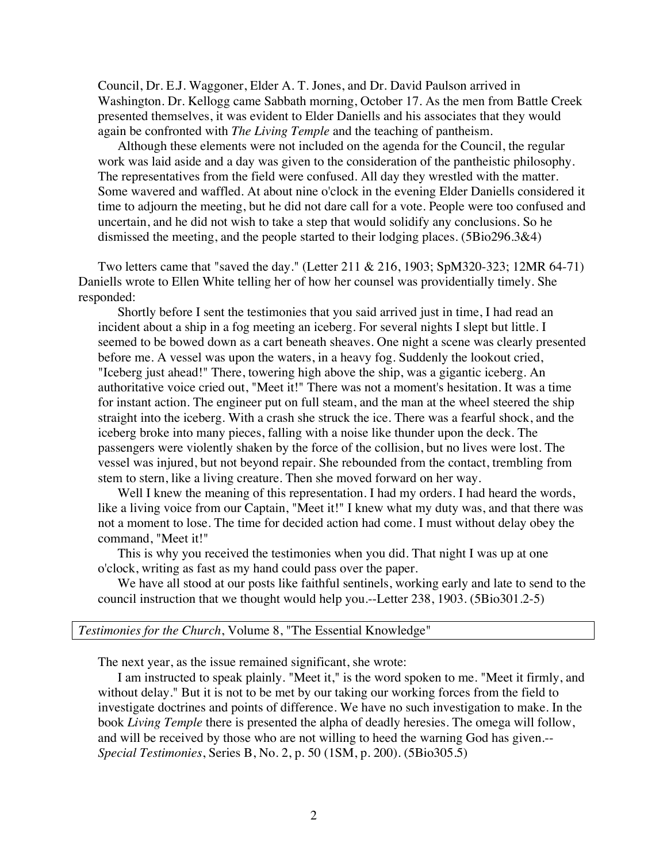Council, Dr. E.J. Waggoner, Elder A. T. Jones, and Dr. David Paulson arrived in Washington. Dr. Kellogg came Sabbath morning, October 17. As the men from Battle Creek presented themselves, it was evident to Elder Daniells and his associates that they would again be confronted with *The Living Temple* and the teaching of pantheism.

Although these elements were not included on the agenda for the Council, the regular work was laid aside and a day was given to the consideration of the pantheistic philosophy. The representatives from the field were confused. All day they wrestled with the matter. Some wavered and waffled. At about nine o'clock in the evening Elder Daniells considered it time to adjourn the meeting, but he did not dare call for a vote. People were too confused and uncertain, and he did not wish to take a step that would solidify any conclusions. So he dismissed the meeting, and the people started to their lodging places. (5Bio296.3&4)

Two letters came that "saved the day." (Letter 211 & 216, 1903; SpM320-323; 12MR 64-71) Daniells wrote to Ellen White telling her of how her counsel was providentially timely. She responded:

Shortly before I sent the testimonies that you said arrived just in time, I had read an incident about a ship in a fog meeting an iceberg. For several nights I slept but little. I seemed to be bowed down as a cart beneath sheaves. One night a scene was clearly presented before me. A vessel was upon the waters, in a heavy fog. Suddenly the lookout cried, "Iceberg just ahead!" There, towering high above the ship, was a gigantic iceberg. An authoritative voice cried out, "Meet it!" There was not a moment's hesitation. It was a time for instant action. The engineer put on full steam, and the man at the wheel steered the ship straight into the iceberg. With a crash she struck the ice. There was a fearful shock, and the iceberg broke into many pieces, falling with a noise like thunder upon the deck. The passengers were violently shaken by the force of the collision, but no lives were lost. The vessel was injured, but not beyond repair. She rebounded from the contact, trembling from stem to stern, like a living creature. Then she moved forward on her way.

Well I knew the meaning of this representation. I had my orders. I had heard the words, like a living voice from our Captain, "Meet it!" I knew what my duty was, and that there was not a moment to lose. The time for decided action had come. I must without delay obey the command, "Meet it!"

This is why you received the testimonies when you did. That night I was up at one o'clock, writing as fast as my hand could pass over the paper.

We have all stood at our posts like faithful sentinels, working early and late to send to the council instruction that we thought would help you.--Letter 238, 1903. (5Bio301.2-5)

#### *Testimonies for the Church*, Volume 8, "The Essential Knowledge"

The next year, as the issue remained significant, she wrote:

I am instructed to speak plainly. "Meet it," is the word spoken to me. "Meet it firmly, and without delay." But it is not to be met by our taking our working forces from the field to investigate doctrines and points of difference. We have no such investigation to make. In the book *Living Temple* there is presented the alpha of deadly heresies. The omega will follow, and will be received by those who are not willing to heed the warning God has given.-- *Special Testimonies*, Series B, No. 2, p. 50 (1SM, p. 200). (5Bio305.5)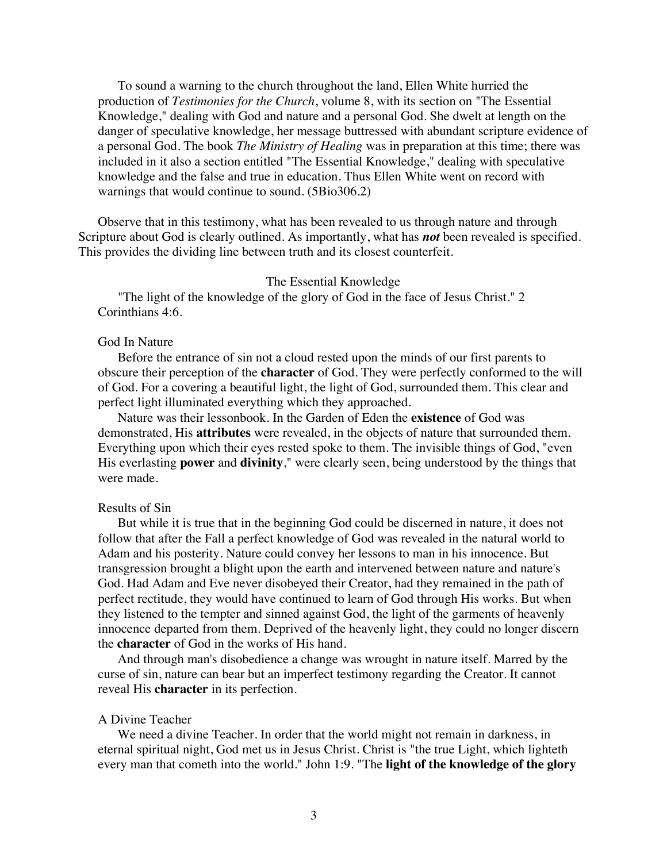To sound a warning to the church throughout the land, Ellen White hurried the production of *Testimonies for the Church*, volume 8, with its section on "The Essential Knowledge," dealing with God and nature and a personal God. She dwelt at length on the danger of speculative knowledge, her message buttressed with abundant scripture evidence of a personal God. The book *The Ministry of Healing* was in preparation at this time; there was included in it also a section entitled "The Essential Knowledge," dealing with speculative knowledge and the false and true in education. Thus Ellen White went on record with warnings that would continue to sound. (5Bio306.2)

Observe that in this testimony, what has been revealed to us through nature and through Scripture about God is clearly outlined. As importantly, what has *not* been revealed is specified. This provides the dividing line between truth and its closest counterfeit.

# The Essential Knowledge

"The light of the knowledge of the glory of God in the face of Jesus Christ." 2 Corinthians 4:6.

## God In Nature

Before the entrance of sin not a cloud rested upon the minds of our first parents to obscure their perception of the **character** of God. They were perfectly conformed to the will of God. For a covering a beautiful light, the light of God, surrounded them. This clear and perfect light illuminated everything which they approached.

Nature was their lessonbook. In the Garden of Eden the **existence** of God was demonstrated, His **attributes** were revealed, in the objects of nature that surrounded them. Everything upon which their eyes rested spoke to them. The invisible things of God, "even His everlasting **power** and **divinity**," were clearly seen, being understood by the things that were made.

## Results of Sin

But while it is true that in the beginning God could be discerned in nature, it does not follow that after the Fall a perfect knowledge of God was revealed in the natural world to Adam and his posterity. Nature could convey her lessons to man in his innocence. But transgression brought a blight upon the earth and intervened between nature and nature's God. Had Adam and Eve never disobeyed their Creator, had they remained in the path of perfect rectitude, they would have continued to learn of God through His works. But when they listened to the tempter and sinned against God, the light of the garments of heavenly innocence departed from them. Deprived of the heavenly light, they could no longer discern the **character** of God in the works of His hand.

And through man's disobedience a change was wrought in nature itself. Marred by the curse of sin, nature can bear but an imperfect testimony regarding the Creator. It cannot reveal His **character** in its perfection.

#### A Divine Teacher

We need a divine Teacher. In order that the world might not remain in darkness, in eternal spiritual night, God met us in Jesus Christ. Christ is "the true Light, which lighteth every man that cometh into the world." John 1:9. "The **light of the knowledge of the glory**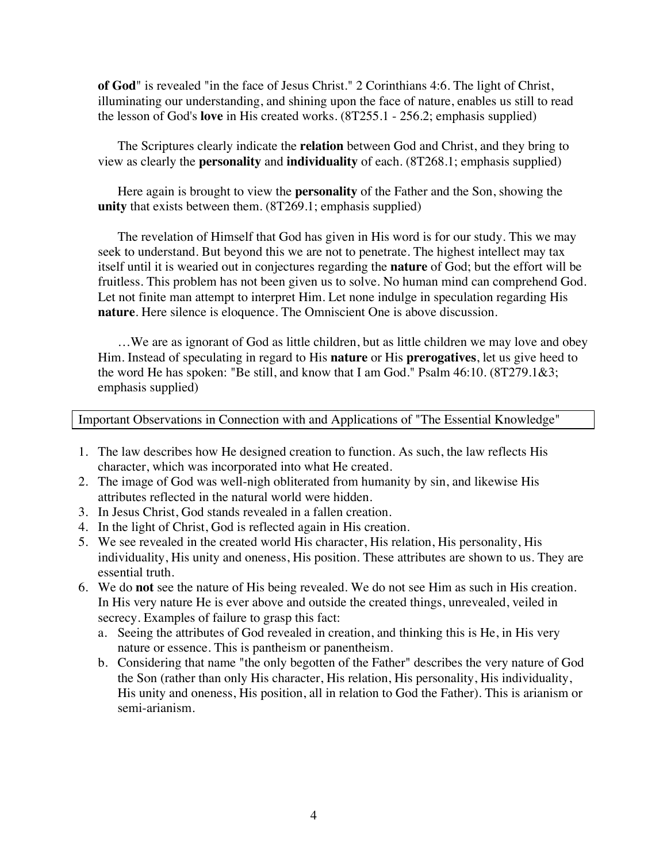**of God**" is revealed "in the face of Jesus Christ." 2 Corinthians 4:6. The light of Christ, illuminating our understanding, and shining upon the face of nature, enables us still to read the lesson of God's **love** in His created works. (8T255.1 - 256.2; emphasis supplied)

The Scriptures clearly indicate the **relation** between God and Christ, and they bring to view as clearly the **personality** and **individuality** of each. (8T268.1; emphasis supplied)

Here again is brought to view the **personality** of the Father and the Son, showing the **unity** that exists between them. (8T269.1; emphasis supplied)

The revelation of Himself that God has given in His word is for our study. This we may seek to understand. But beyond this we are not to penetrate. The highest intellect may tax itself until it is wearied out in conjectures regarding the **nature** of God; but the effort will be fruitless. This problem has not been given us to solve. No human mind can comprehend God. Let not finite man attempt to interpret Him. Let none indulge in speculation regarding His **nature**. Here silence is eloquence. The Omniscient One is above discussion.

…We are as ignorant of God as little children, but as little children we may love and obey Him. Instead of speculating in regard to His **nature** or His **prerogatives**, let us give heed to the word He has spoken: "Be still, and know that I am God." Psalm 46:10. (8T279.1&3; emphasis supplied)

Important Observations in Connection with and Applications of "The Essential Knowledge"

- 1. The law describes how He designed creation to function. As such, the law reflects His character, which was incorporated into what He created.
- 2. The image of God was well-nigh obliterated from humanity by sin, and likewise His attributes reflected in the natural world were hidden.
- 3. In Jesus Christ, God stands revealed in a fallen creation.
- 4. In the light of Christ, God is reflected again in His creation.
- 5. We see revealed in the created world His character, His relation, His personality, His individuality, His unity and oneness, His position. These attributes are shown to us. They are essential truth.
- 6. We do **not** see the nature of His being revealed. We do not see Him as such in His creation. In His very nature He is ever above and outside the created things, unrevealed, veiled in secrecy. Examples of failure to grasp this fact:
	- a. Seeing the attributes of God revealed in creation, and thinking this is He, in His very nature or essence. This is pantheism or panentheism.
	- b. Considering that name "the only begotten of the Father" describes the very nature of God the Son (rather than only His character, His relation, His personality, His individuality, His unity and oneness, His position, all in relation to God the Father). This is arianism or semi-arianism.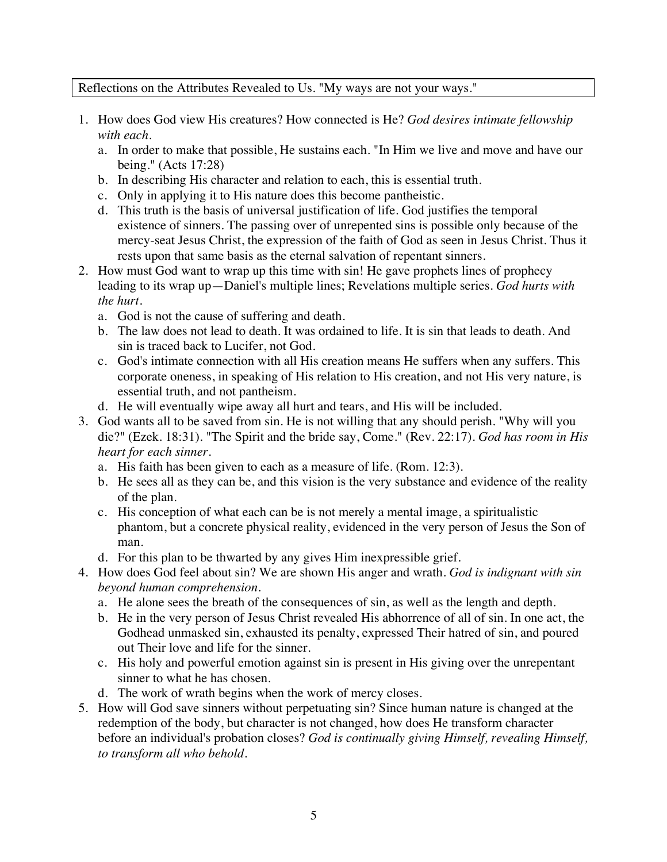Reflections on the Attributes Revealed to Us. "My ways are not your ways."

- 1. How does God view His creatures? How connected is He? *God desires intimate fellowship with each*.
	- a. In order to make that possible, He sustains each. "In Him we live and move and have our being." (Acts 17:28)
	- b. In describing His character and relation to each, this is essential truth.
	- c. Only in applying it to His nature does this become pantheistic.
	- d. This truth is the basis of universal justification of life. God justifies the temporal existence of sinners. The passing over of unrepented sins is possible only because of the mercy-seat Jesus Christ, the expression of the faith of God as seen in Jesus Christ. Thus it rests upon that same basis as the eternal salvation of repentant sinners.
- 2. How must God want to wrap up this time with sin! He gave prophets lines of prophecy leading to its wrap up—Daniel's multiple lines; Revelations multiple series. *God hurts with the hurt*.
	- a. God is not the cause of suffering and death.
	- b. The law does not lead to death. It was ordained to life. It is sin that leads to death. And sin is traced back to Lucifer, not God.
	- c. God's intimate connection with all His creation means He suffers when any suffers. This corporate oneness, in speaking of His relation to His creation, and not His very nature, is essential truth, and not pantheism.
	- d. He will eventually wipe away all hurt and tears, and His will be included.
- 3. God wants all to be saved from sin. He is not willing that any should perish. "Why will you die?" (Ezek. 18:31). "The Spirit and the bride say, Come." (Rev. 22:17). *God has room in His heart for each sinner.*
	- a. His faith has been given to each as a measure of life. (Rom. 12:3).
	- b. He sees all as they can be, and this vision is the very substance and evidence of the reality of the plan.
	- c. His conception of what each can be is not merely a mental image, a spiritualistic phantom, but a concrete physical reality, evidenced in the very person of Jesus the Son of man.
	- d. For this plan to be thwarted by any gives Him inexpressible grief.
- 4. How does God feel about sin? We are shown His anger and wrath. *God is indignant with sin beyond human comprehension.* 
	- a. He alone sees the breath of the consequences of sin, as well as the length and depth.
	- b. He in the very person of Jesus Christ revealed His abhorrence of all of sin. In one act, the Godhead unmasked sin, exhausted its penalty, expressed Their hatred of sin, and poured out Their love and life for the sinner.
	- c. His holy and powerful emotion against sin is present in His giving over the unrepentant sinner to what he has chosen.
	- d. The work of wrath begins when the work of mercy closes.
- 5. How will God save sinners without perpetuating sin? Since human nature is changed at the redemption of the body, but character is not changed, how does He transform character before an individual's probation closes? *God is continually giving Himself, revealing Himself, to transform all who behold.*